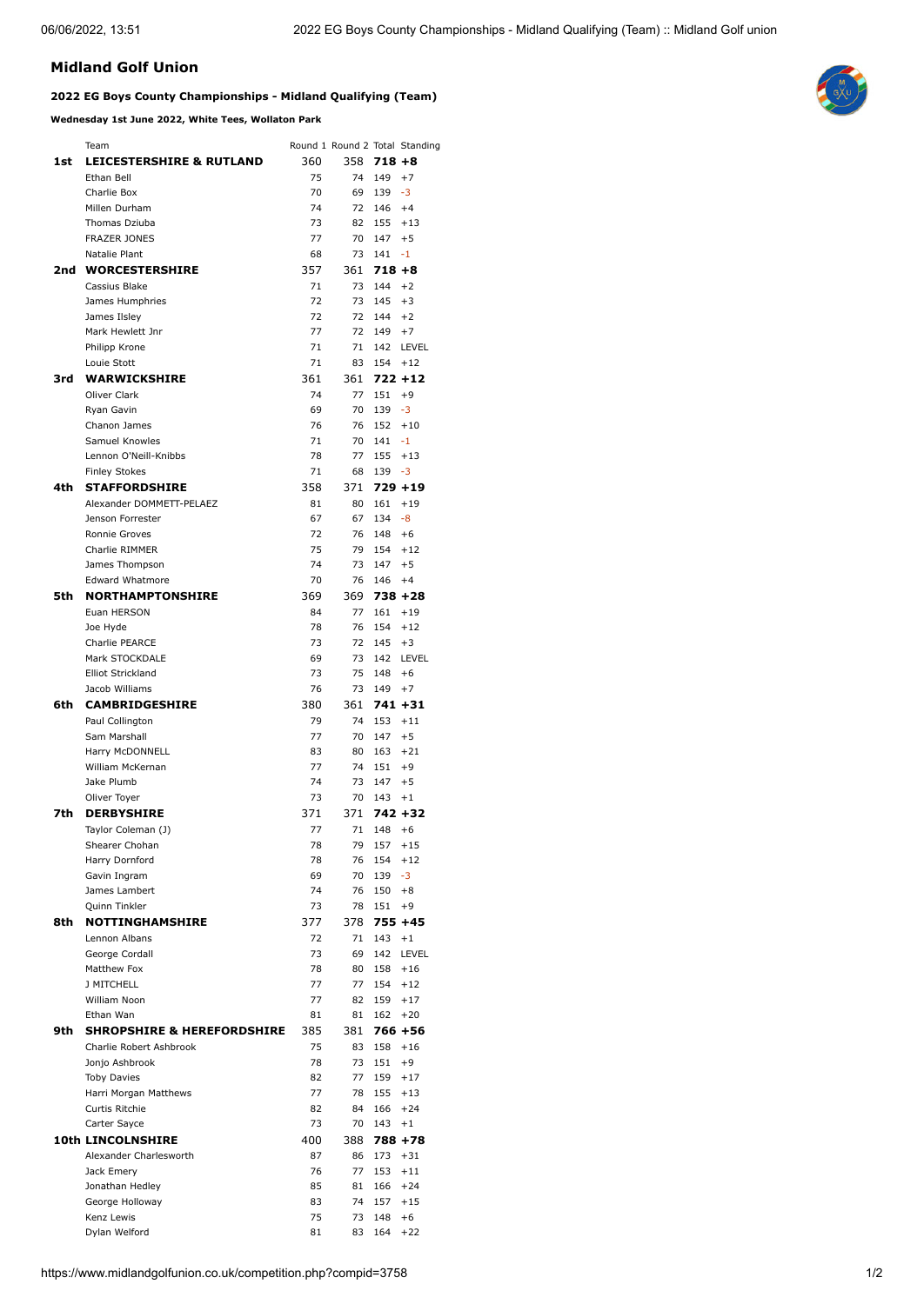## **Midland Golf Union**

## **2022 EG Boys County Championships - Midland Qualifying (Team)**

**Wednesday 1st June 2022, White Tees, Wollaton Park**

|     | Team                                   |           |           |            | Round 1 Round 2 Total Standing |
|-----|----------------------------------------|-----------|-----------|------------|--------------------------------|
| 1st | <b>LEICESTERSHIRE &amp; RUTLAND</b>    | 360       | 358       | $718+8$    |                                |
|     | Ethan Bell                             | 75        | 74        | 149        | $+7$                           |
|     | Charlie Box                            | 70        | 69        | 139        | $-3$                           |
|     | Millen Durham                          | 74        | 72        | 146        | $+4$                           |
|     | Thomas Dziuba                          | 73        | 82        | 155        | $+13$                          |
|     | <b>FRAZER JONES</b>                    | 77        | 70        | 147        | $+5$                           |
|     | Natalie Plant                          | 68        | 73        | 141        | $-1$                           |
| 2nd | <b>WORCESTERSHIRE</b>                  | 357       | 361       | $718 + 8$  |                                |
|     | Cassius Blake                          | 71        | 73        | 144        | $+2$                           |
|     | James Humphries                        | 72        | 73        | 145        | $+3$                           |
|     | James Ilsley<br>Mark Hewlett Jnr       | 72<br>77  | 72<br>72  | 144<br>149 | $+2$<br>$+7$                   |
|     | Philipp Krone                          | 71        | 71        | 142        | LEVEL                          |
|     | Louie Stott                            | 71        | 83        | 154        | $+12$                          |
| 3rd | <b>WARWICKSHIRE</b>                    | 361       | 361       |            | $722 + 12$                     |
|     | Oliver Clark                           | 74        | 77        | 151        | $+9$                           |
|     | Ryan Gavin                             | 69        | 70        | 139        | $-3$                           |
|     | Chanon James                           | 76        | 76        | 152        | $+10$                          |
|     | Samuel Knowles                         | 71        | 70        | 141        | $-1$                           |
|     | Lennon O'Neill-Knibbs                  | 78        | 77        | 155        | $+13$                          |
|     | <b>Finley Stokes</b>                   | 71        | 68        | 139        | -3                             |
| 4th | <b>STAFFORDSHIRE</b>                   | 358       | 371       |            | $729 + 19$                     |
|     | Alexander DOMMETT-PELAEZ               | 81        | 80        | 161        | $+19$                          |
|     | Jenson Forrester                       | 67        | 67        | 134        | $-8$                           |
|     | Ronnie Groves                          | 72        | 76        | 148        | $+6$                           |
|     | Charlie RIMMER                         | 75        | 79        | 154        | $+12$                          |
|     | James Thompson                         | 74        | 73        | 147        | $+5$                           |
|     | <b>Edward Whatmore</b>                 | 70        | 76        | 146        | $+4$                           |
| 5th | <b>NORTHAMPTONSHIRE</b><br>Euan HERSON | 369<br>84 | 369<br>77 | 161        | $738 + 28$<br>$+19$            |
|     | Joe Hyde                               | 78        | 76        | 154        | $+12$                          |
|     | <b>Charlie PEARCE</b>                  | 73        | 72        | 145        | $+3$                           |
|     | Mark STOCKDALE                         | 69        | 73        | 142        | LEVEL                          |
|     | <b>Elliot Strickland</b>               | 73        | 75        | 148        | $+6$                           |
|     | Jacob Williams                         | 76        | 73        | 149        | $+7$                           |
| 6th | <b>CAMBRIDGESHIRE</b>                  | 380       | 361       |            | $741 + 31$                     |
|     | Paul Collington                        | 79        | 74        | 153        | $+11$                          |
|     | Sam Marshall                           | 77        | 70        | 147        | $+5$                           |
|     | Harry McDONNELL                        | 83        | 80        | 163        | $+21$                          |
|     | William McKernan                       | 77        | 74        | 151        | $+9$                           |
|     | Jake Plumb                             | 74        | 73        | 147        | $+5$                           |
|     | Oliver Toyer                           | 73        | 70        | 143        | $+1$                           |
| 7th | <b>DERBYSHIRE</b>                      | 371       | 371       |            | 742 +32                        |
|     | Taylor Coleman (J)                     | 77        | 71        | 148        | $+6$                           |
|     | Shearer Chohan<br>Harry Dornford       | 78<br>78  | 79<br>76  | 157<br>154 | $+15$<br>$+12$                 |
|     | Gavin Ingram                           | 69        | 70        | 139        | -3                             |
|     | James Lambert                          | 74        | 76        | 150        | $+8$                           |
|     | Quinn Tinkler                          | 73        | 78        | 151        | $+9$                           |
| 8th | <b>NOTTINGHAMSHIRE</b>                 | 377       | 378       |            | $755 + 45$                     |
|     | Lennon Albans                          | 72        | 71        | 143        | $+1$                           |
|     | George Cordall                         | 73        | 69        | 142        | LEVEL                          |
|     | Matthew Fox                            | 78        | 80        | 158        | $+16$                          |
|     | <b>J MITCHELL</b>                      | 77        | 77        | 154        | $+12$                          |
|     | William Noon                           | 77        | 82        | 159        | $+17$                          |
|     | Ethan Wan                              | 81        | 81        | 162        | $+20$                          |
| 9th | <b>SHROPSHIRE &amp; HEREFORDSHIRE</b>  | 385       | 381       |            | $766 + 56$                     |
|     | Charlie Robert Ashbrook                | 75        | 83        | 158        | $+16$                          |
|     | Jonjo Ashbrook                         | 78        | 73        | 151        | $+9$                           |
|     | <b>Toby Davies</b>                     | 82<br>77  | 77        | 159<br>155 | $+17$                          |
|     | Harri Morgan Matthews                  |           | 78<br>84  |            | $+13$                          |
|     | Curtis Ritchie<br>Carter Sayce         | 82<br>73  | 70        | 166<br>143 | $+24$<br>$+1$                  |
|     | <b>10th LINCOLNSHIRE</b>               | 400       | 388       |            | $788 + 78$                     |
|     | Alexander Charlesworth                 | 87        | 86        | 173        | $+31$                          |
|     | Jack Emery                             | 76        | 77        | 153        | $+11$                          |
|     | Jonathan Hedley                        | 85        | 81        | 166        | $+24$                          |
|     | George Holloway                        | 83        | 74        | 157        | $+15$                          |
|     | Kenz Lewis                             | 75        | 73        | 148        | $+6$                           |
|     | Dylan Welford                          | 81        |           | 83 164 +22 |                                |